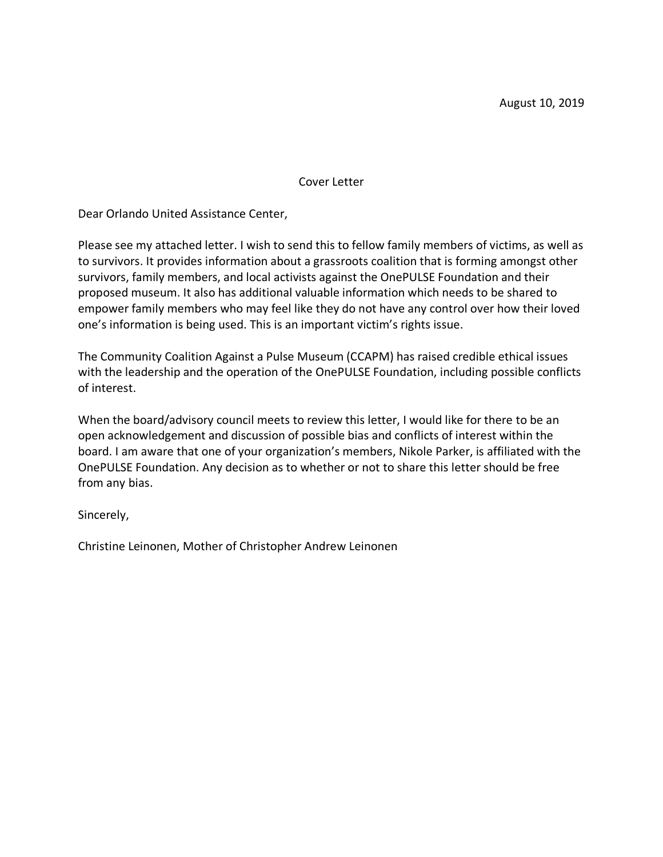Cover Letter

Dear Orlando United Assistance Center,

Please see my attached letter. I wish to send this to fellow family members of victims, as well as to survivors. It provides information about a grassroots coalition that is forming amongst other survivors, family members, and local activists against the OnePULSE Foundation and their proposed museum. It also has additional valuable information which needs to be shared to empower family members who may feel like they do not have any control over how their loved one's information is being used. This is an important victim's rights issue.

The Community Coalition Against a Pulse Museum (CCAPM) has raised credible ethical issues with the leadership and the operation of the OnePULSE Foundation, including possible conflicts of interest.

When the board/advisory council meets to review this letter, I would like for there to be an open acknowledgement and discussion of possible bias and conflicts of interest within the board. I am aware that one of your organization's members, Nikole Parker, is affiliated with the OnePULSE Foundation. Any decision as to whether or not to share this letter should be free from any bias.

Sincerely,

Christine Leinonen, Mother of Christopher Andrew Leinonen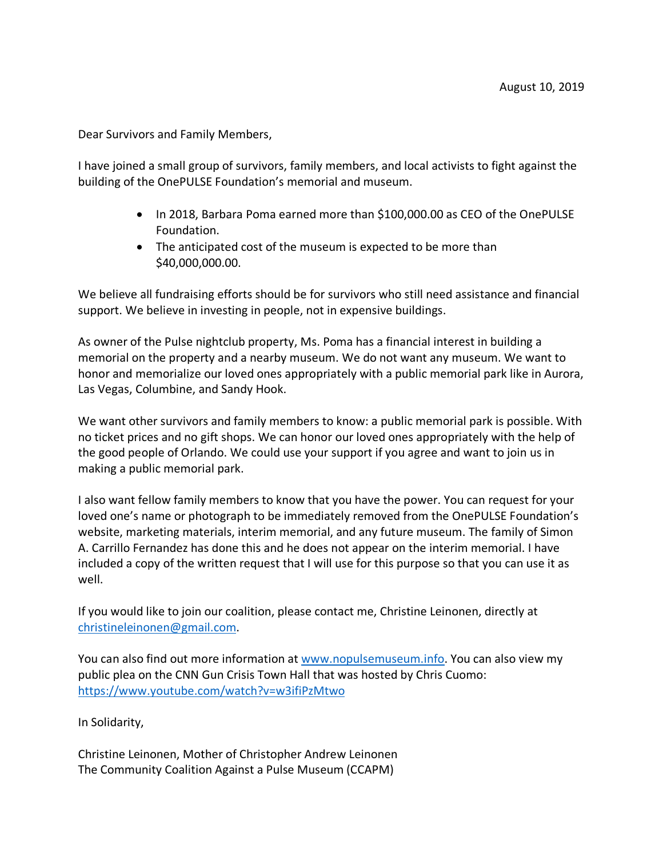Dear Survivors and Family Members,

I have joined a small group of survivors, family members, and local activists to fight against the building of the OnePULSE Foundation's memorial and museum.

- In 2018, Barbara Poma earned more than \$100,000.00 as CEO of the OnePULSE Foundation.
- The anticipated cost of the museum is expected to be more than \$40,000,000.00.

We believe all fundraising efforts should be for survivors who still need assistance and financial support. We believe in investing in people, not in expensive buildings.

As owner of the Pulse nightclub property, Ms. Poma has a financial interest in building a memorial on the property and a nearby museum. We do not want any museum. We want to honor and memorialize our loved ones appropriately with a public memorial park like in Aurora, Las Vegas, Columbine, and Sandy Hook.

We want other survivors and family members to know: a public memorial park is possible. With no ticket prices and no gift shops. We can honor our loved ones appropriately with the help of the good people of Orlando. We could use your support if you agree and want to join us in making a public memorial park.

I also want fellow family members to know that you have the power. You can request for your loved one's name or photograph to be immediately removed from the OnePULSE Foundation's website, marketing materials, interim memorial, and any future museum. The family of Simon A. Carrillo Fernandez has done this and he does not appear on the interim memorial. I have included a copy of the written request that I will use for this purpose so that you can use it as well.

If you would like to join our coalition, please contact me, Christine Leinonen, directly at christineleinonen@gmail.com.

You can also find out more information at www.nopulsemuseum.info. You can also view my public plea on the CNN Gun Crisis Town Hall that was hosted by Chris Cuomo: https://www.youtube.com/watch?v=w3ifiPzMtwo

In Solidarity,

Christine Leinonen, Mother of Christopher Andrew Leinonen The Community Coalition Against a Pulse Museum (CCAPM)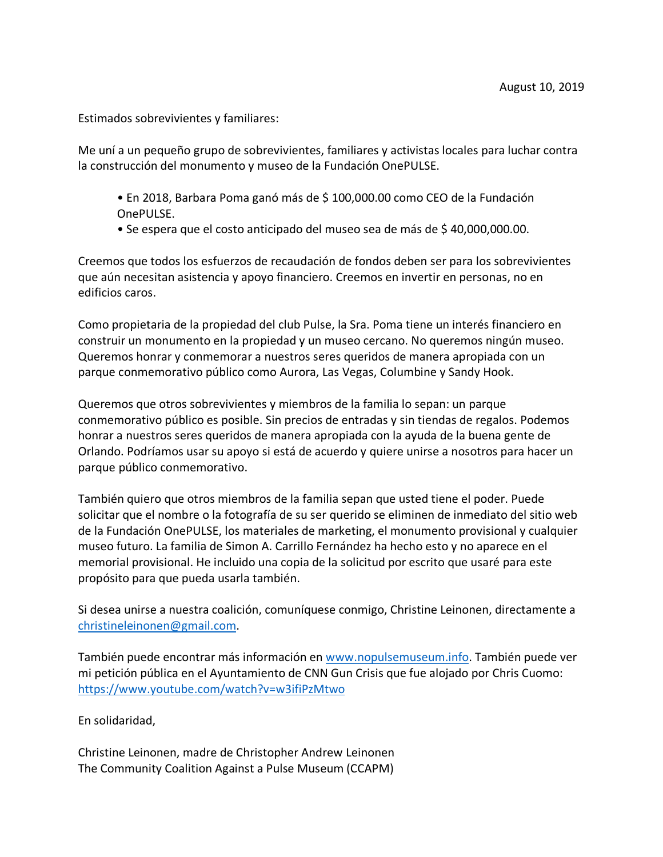Estimados sobrevivientes y familiares:

Me uní a un pequeño grupo de sobrevivientes, familiares y activistas locales para luchar contra la construcción del monumento y museo de la Fundación OnePULSE.

- En 2018, Barbara Poma ganó más de \$ 100,000.00 como CEO de la Fundación OnePULSE.
- Se espera que el costo anticipado del museo sea de más de \$ 40,000,000.00.

Creemos que todos los esfuerzos de recaudación de fondos deben ser para los sobrevivientes que aún necesitan asistencia y apoyo financiero. Creemos en invertir en personas, no en edificios caros.

Como propietaria de la propiedad del club Pulse, la Sra. Poma tiene un interés financiero en construir un monumento en la propiedad y un museo cercano. No queremos ningún museo. Queremos honrar y conmemorar a nuestros seres queridos de manera apropiada con un parque conmemorativo público como Aurora, Las Vegas, Columbine y Sandy Hook.

Queremos que otros sobrevivientes y miembros de la familia lo sepan: un parque conmemorativo público es posible. Sin precios de entradas y sin tiendas de regalos. Podemos honrar a nuestros seres queridos de manera apropiada con la ayuda de la buena gente de Orlando. Podríamos usar su apoyo si está de acuerdo y quiere unirse a nosotros para hacer un parque público conmemorativo.

También quiero que otros miembros de la familia sepan que usted tiene el poder. Puede solicitar que el nombre o la fotografía de su ser querido se eliminen de inmediato del sitio web de la Fundación OnePULSE, los materiales de marketing, el monumento provisional y cualquier museo futuro. La familia de Simon A. Carrillo Fernández ha hecho esto y no aparece en el memorial provisional. He incluido una copia de la solicitud por escrito que usaré para este propósito para que pueda usarla también.

Si desea unirse a nuestra coalición, comuníquese conmigo, Christine Leinonen, directamente a christineleinonen@gmail.com.

También puede encontrar más información en www.nopulsemuseum.info. También puede ver mi petición pública en el Ayuntamiento de CNN Gun Crisis que fue alojado por Chris Cuomo: https://www.youtube.com/watch?v=w3ifiPzMtwo

En solidaridad,

Christine Leinonen, madre de Christopher Andrew Leinonen The Community Coalition Against a Pulse Museum (CCAPM)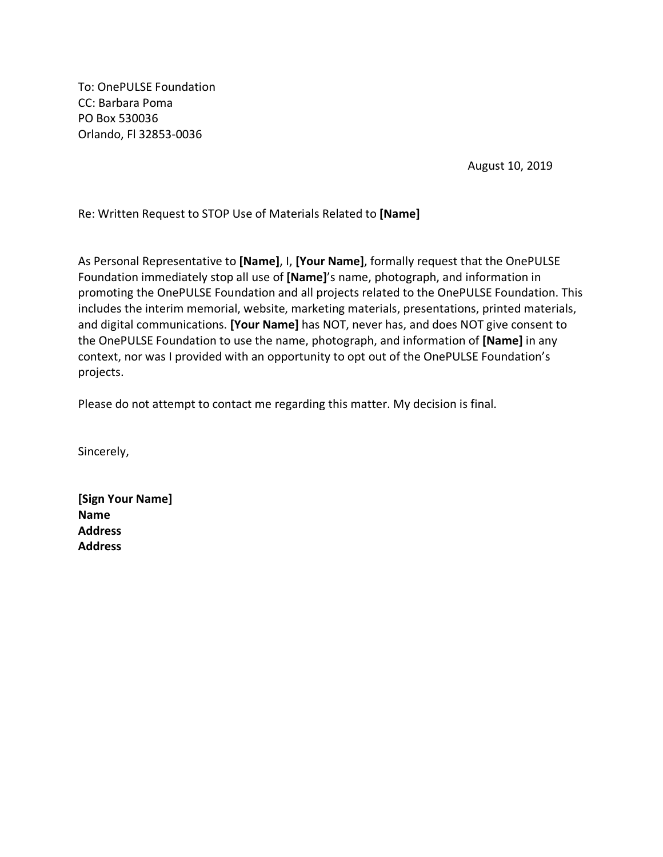To: OnePULSE Foundation CC: Barbara Poma PO Box 530036 Orlando, Fl 32853-0036

August 10, 2019

Re: Written Request to STOP Use of Materials Related to **[Name]**

As Personal Representative to **[Name]**, I, **[Your Name]**, formally request that the OnePULSE Foundation immediately stop all use of **[Name]**'s name, photograph, and information in promoting the OnePULSE Foundation and all projects related to the OnePULSE Foundation. This includes the interim memorial, website, marketing materials, presentations, printed materials, and digital communications. **[Your Name]** has NOT, never has, and does NOT give consent to the OnePULSE Foundation to use the name, photograph, and information of **[Name]** in any context, nor was I provided with an opportunity to opt out of the OnePULSE Foundation's projects.

Please do not attempt to contact me regarding this matter. My decision is final.

Sincerely,

**[Sign Your Name] Name Address Address**